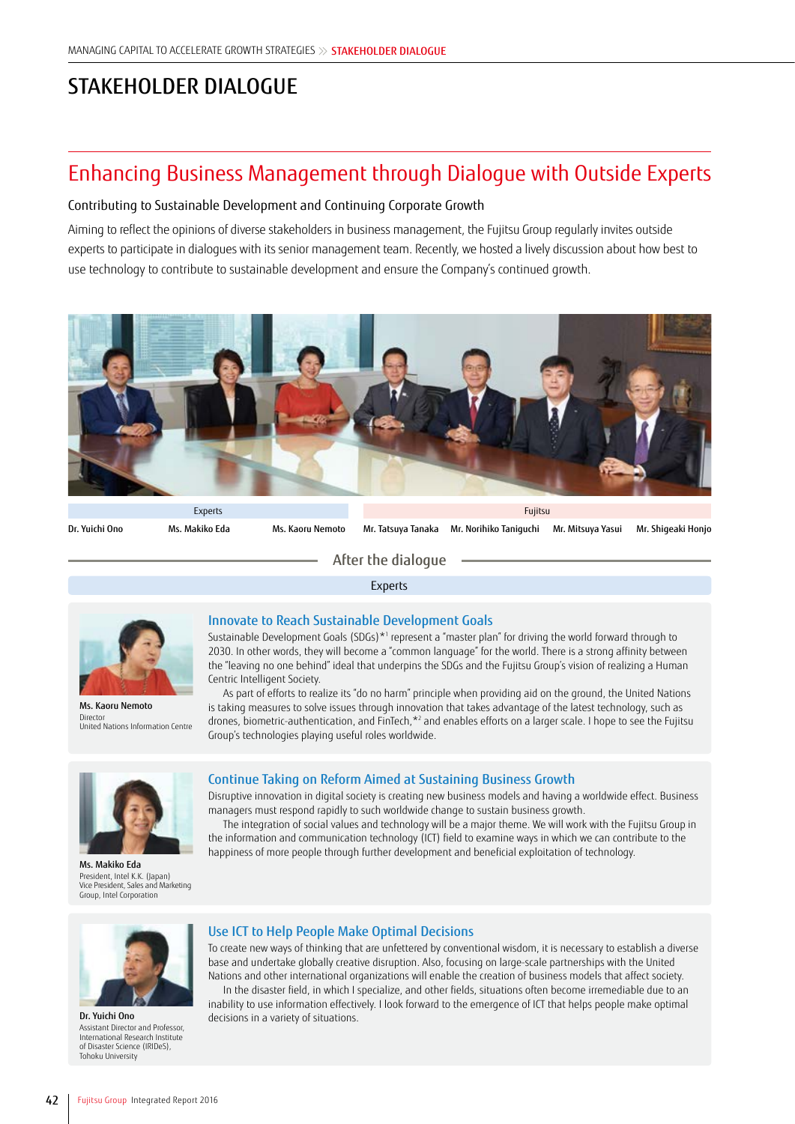# STAKEHOLDER DIALOGUE

## Enhancing Business Management through Dialogue with Outside Experts

### Contributing to Sustainable Development and Continuing Corporate Growth

Aiming to reflect the opinions of diverse stakeholders in business management, the Fujitsu Group regularly invites outside experts to participate in dialogues with its senior management team. Recently, we hosted a lively discussion about how best to use technology to contribute to sustainable development and ensure the Company's continued growth.



Dr. Yuichi Ono Ms. Makiko Eda Ms. Kaoru Nemoto Mr. Tatsuya Tanaka Mr. Norihiko Taniguchi Mr. Mitsuya Yasui Mr. Shigeaki Honjo

After the dialogue

Experts



Ms. Kaoru Nemoto Director United Nations Information Centre

### Innovate to Reach Sustainable Development Goals

Sustainable Development Goals (SDGs)\*1 represent a "master plan" for driving the world forward through to 2030. In other words, they will become a "common language" for the world. There is a strong affinity between the "leaving no one behind" ideal that underpins the SDGs and the Fujitsu Group's vision of realizing a Human Centric Intelligent Society.

As part of efforts to realize its "do no harm" principle when providing aid on the ground, the United Nations is taking measures to solve issues through innovation that takes advantage of the latest technology, such as drones, biometric-authentication, and FinTech,<sup>\*2</sup> and enables efforts on a larger scale. I hope to see the Fujitsu Group's technologies playing useful roles worldwide.



Ms. Makiko Eda President, Intel K.K. (Japan) Vice President, Sales and Marketing Group, Intel Corporation

### Continue Taking on Reform Aimed at Sustaining Business Growth

Disruptive innovation in digital society is creating new business models and having a worldwide effect. Business managers must respond rapidly to such worldwide change to sustain business growth.

The integration of social values and technology will be a major theme. We will work with the Fujitsu Group in the information and communication technology (ICT) field to examine ways in which we can contribute to the happiness of more people through further development and beneficial exploitation of technology.



Dr. Yuichi Ono Assistant Director and Professor, International Research Institute of Disaster Science (IRIDeS), Tohoku University

### Use ICT to Help People Make Optimal Decisions

To create new ways of thinking that are unfettered by conventional wisdom, it is necessary to establish a diverse base and undertake globally creative disruption. Also, focusing on large-scale partnerships with the United Nations and other international organizations will enable the creation of business models that affect society.

In the disaster field, in which I specialize, and other fields, situations often become irremediable due to an inability to use information effectively. I look forward to the emergence of ICT that helps people make optimal decisions in a variety of situations.